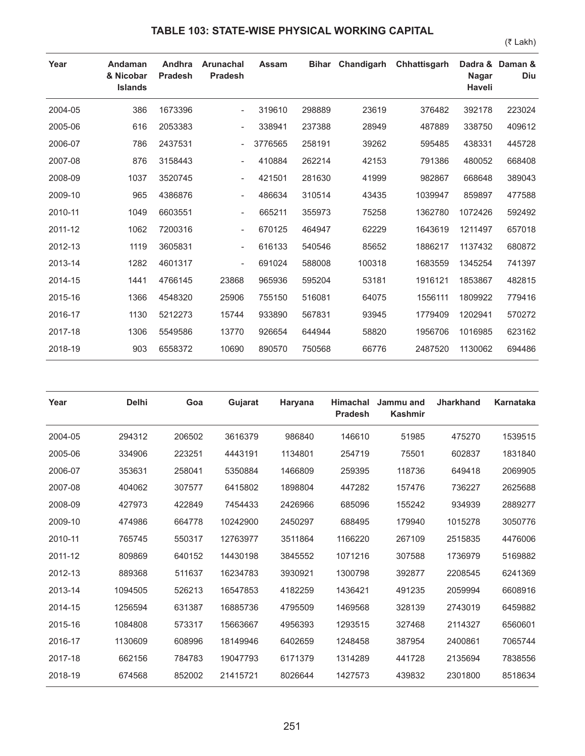## **TABLE 103: STATE-WISE PHYSICAL WORKING CAPITAL**

(₹ Lakh)

| Year    | Andaman<br>& Nicobar<br><b>Islands</b> | Andhra<br><b>Pradesh</b> | <b>Arunachal</b><br><b>Pradesh</b> | Assam   | Bihar  | Chandigarh | Chhattisgarh | <b>Nagar</b><br><b>Haveli</b> | Dadra & Daman &<br><b>Diu</b> |
|---------|----------------------------------------|--------------------------|------------------------------------|---------|--------|------------|--------------|-------------------------------|-------------------------------|
| 2004-05 | 386                                    | 1673396                  | $\overline{\phantom{0}}$           | 319610  | 298889 | 23619      | 376482       | 392178                        | 223024                        |
| 2005-06 | 616                                    | 2053383                  | $\overline{\phantom{0}}$           | 338941  | 237388 | 28949      | 487889       | 338750                        | 409612                        |
| 2006-07 | 786                                    | 2437531                  |                                    | 3776565 | 258191 | 39262      | 595485       | 438331                        | 445728                        |
| 2007-08 | 876                                    | 3158443                  | $\overline{\phantom{a}}$           | 410884  | 262214 | 42153      | 791386       | 480052                        | 668408                        |
| 2008-09 | 1037                                   | 3520745                  | $\overline{\phantom{a}}$           | 421501  | 281630 | 41999      | 982867       | 668648                        | 389043                        |
| 2009-10 | 965                                    | 4386876                  |                                    | 486634  | 310514 | 43435      | 1039947      | 859897                        | 477588                        |
| 2010-11 | 1049                                   | 6603551                  | $\overline{\phantom{a}}$           | 665211  | 355973 | 75258      | 1362780      | 1072426                       | 592492                        |
| 2011-12 | 1062                                   | 7200316                  | $\overline{\phantom{a}}$           | 670125  | 464947 | 62229      | 1643619      | 1211497                       | 657018                        |
| 2012-13 | 1119                                   | 3605831                  | $\overline{\phantom{0}}$           | 616133  | 540546 | 85652      | 1886217      | 1137432                       | 680872                        |
| 2013-14 | 1282                                   | 4601317                  | $\overline{\phantom{a}}$           | 691024  | 588008 | 100318     | 1683559      | 1345254                       | 741397                        |
| 2014-15 | 1441                                   | 4766145                  | 23868                              | 965936  | 595204 | 53181      | 1916121      | 1853867                       | 482815                        |
| 2015-16 | 1366                                   | 4548320                  | 25906                              | 755150  | 516081 | 64075      | 1556111      | 1809922                       | 779416                        |
| 2016-17 | 1130                                   | 5212273                  | 15744                              | 933890  | 567831 | 93945      | 1779409      | 1202941                       | 570272                        |
| 2017-18 | 1306                                   | 5549586                  | 13770                              | 926654  | 644944 | 58820      | 1956706      | 1016985                       | 623162                        |
| 2018-19 | 903                                    | 6558372                  | 10690                              | 890570  | 750568 | 66776      | 2487520      | 1130062                       | 694486                        |

| Year    | <b>Delhi</b> | Goa    | <b>Gujarat</b> | Haryana | <b>Himachal</b><br><b>Pradesh</b> | Jammu and<br><b>Kashmir</b> | <b>Jharkhand</b> | <b>Karnataka</b> |
|---------|--------------|--------|----------------|---------|-----------------------------------|-----------------------------|------------------|------------------|
| 2004-05 | 294312       | 206502 | 3616379        | 986840  | 146610                            | 51985                       | 475270           | 1539515          |
| 2005-06 | 334906       | 223251 | 4443191        | 1134801 | 254719                            | 75501                       | 602837           | 1831840          |
| 2006-07 | 353631       | 258041 | 5350884        | 1466809 | 259395                            | 118736                      | 649418           | 2069905          |
| 2007-08 | 404062       | 307577 | 6415802        | 1898804 | 447282                            | 157476                      | 736227           | 2625688          |
| 2008-09 | 427973       | 422849 | 7454433        | 2426966 | 685096                            | 155242                      | 934939           | 2889277          |
| 2009-10 | 474986       | 664778 | 10242900       | 2450297 | 688495                            | 179940                      | 1015278          | 3050776          |
| 2010-11 | 765745       | 550317 | 12763977       | 3511864 | 1166220                           | 267109                      | 2515835          | 4476006          |
| 2011-12 | 809869       | 640152 | 14430198       | 3845552 | 1071216                           | 307588                      | 1736979          | 5169882          |
| 2012-13 | 889368       | 511637 | 16234783       | 3930921 | 1300798                           | 392877                      | 2208545          | 6241369          |
| 2013-14 | 1094505      | 526213 | 16547853       | 4182259 | 1436421                           | 491235                      | 2059994          | 6608916          |
| 2014-15 | 1256594      | 631387 | 16885736       | 4795509 | 1469568                           | 328139                      | 2743019          | 6459882          |
| 2015-16 | 1084808      | 573317 | 15663667       | 4956393 | 1293515                           | 327468                      | 2114327          | 6560601          |
| 2016-17 | 1130609      | 608996 | 18149946       | 6402659 | 1248458                           | 387954                      | 2400861          | 7065744          |
| 2017-18 | 662156       | 784783 | 19047793       | 6171379 | 1314289                           | 441728                      | 2135694          | 7838556          |
| 2018-19 | 674568       | 852002 | 21415721       | 8026644 | 1427573                           | 439832                      | 2301800          | 8518634          |